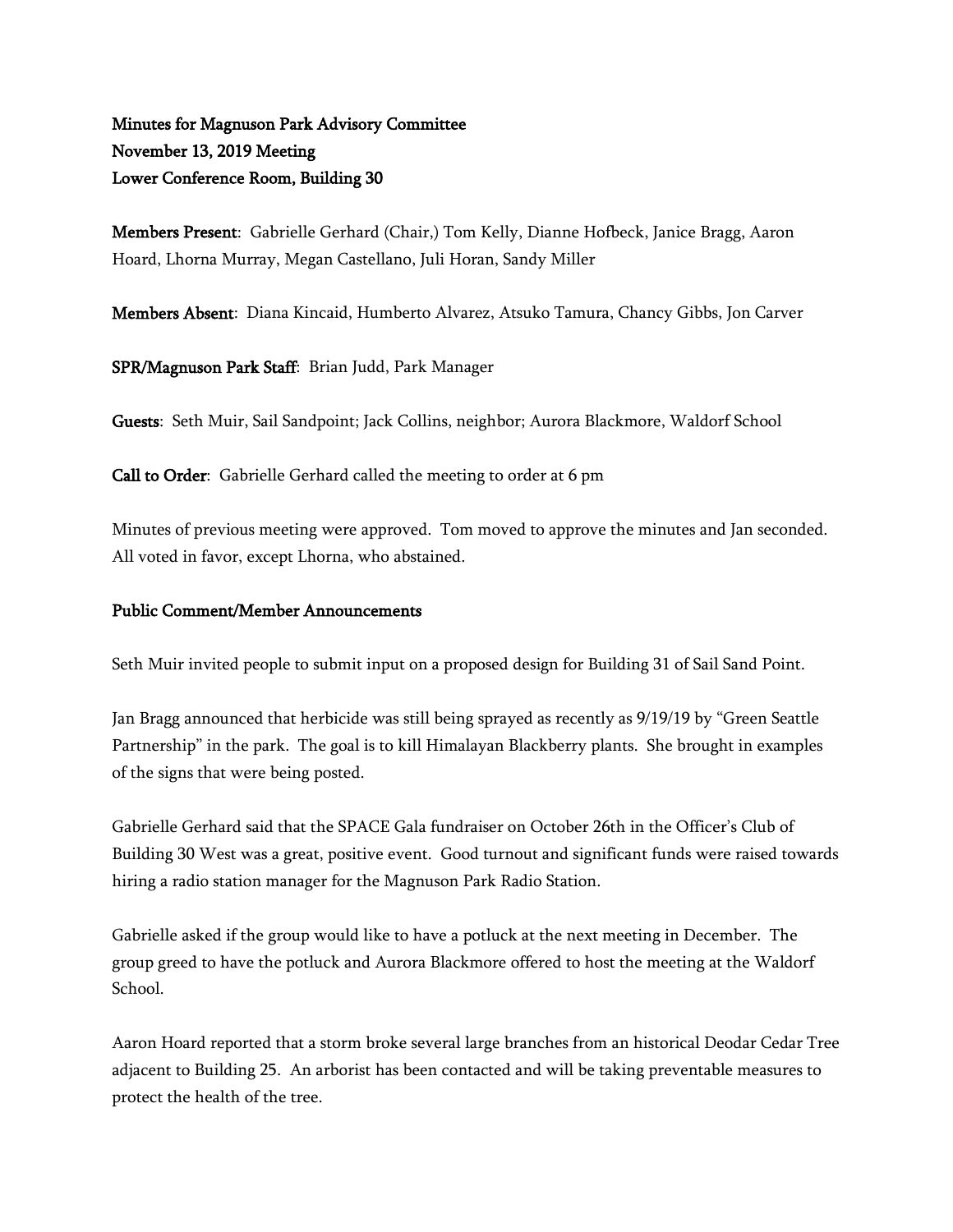# Minutes for Magnuson Park Advisory Committee November 13, 2019 Meeting Lower Conference Room, Building 30

Members Present: Gabrielle Gerhard (Chair,) Tom Kelly, Dianne Hofbeck, Janice Bragg, Aaron Hoard, Lhorna Murray, Megan Castellano, Juli Horan, Sandy Miller

Members Absent: Diana Kincaid, Humberto Alvarez, Atsuko Tamura, Chancy Gibbs, Jon Carver

SPR/Magnuson Park Staff: Brian Judd, Park Manager

Guests: Seth Muir, Sail Sandpoint; Jack Collins, neighbor; Aurora Blackmore, Waldorf School

Call to Order: Gabrielle Gerhard called the meeting to order at 6 pm

Minutes of previous meeting were approved. Tom moved to approve the minutes and Jan seconded. All voted in favor, except Lhorna, who abstained.

## Public Comment/Member Announcements

Seth Muir invited people to submit input on a proposed design for Building 31 of Sail Sand Point.

Jan Bragg announced that herbicide was still being sprayed as recently as 9/19/19 by "Green Seattle Partnership" in the park. The goal is to kill Himalayan Blackberry plants. She brought in examples of the signs that were being posted.

Gabrielle Gerhard said that the SPACE Gala fundraiser on October 26th in the Officer's Club of Building 30 West was a great, positive event. Good turnout and significant funds were raised towards hiring a radio station manager for the Magnuson Park Radio Station.

Gabrielle asked if the group would like to have a potluck at the next meeting in December. The group greed to have the potluck and Aurora Blackmore offered to host the meeting at the Waldorf School.

Aaron Hoard reported that a storm broke several large branches from an historical Deodar Cedar Tree adjacent to Building 25. An arborist has been contacted and will be taking preventable measures to protect the health of the tree.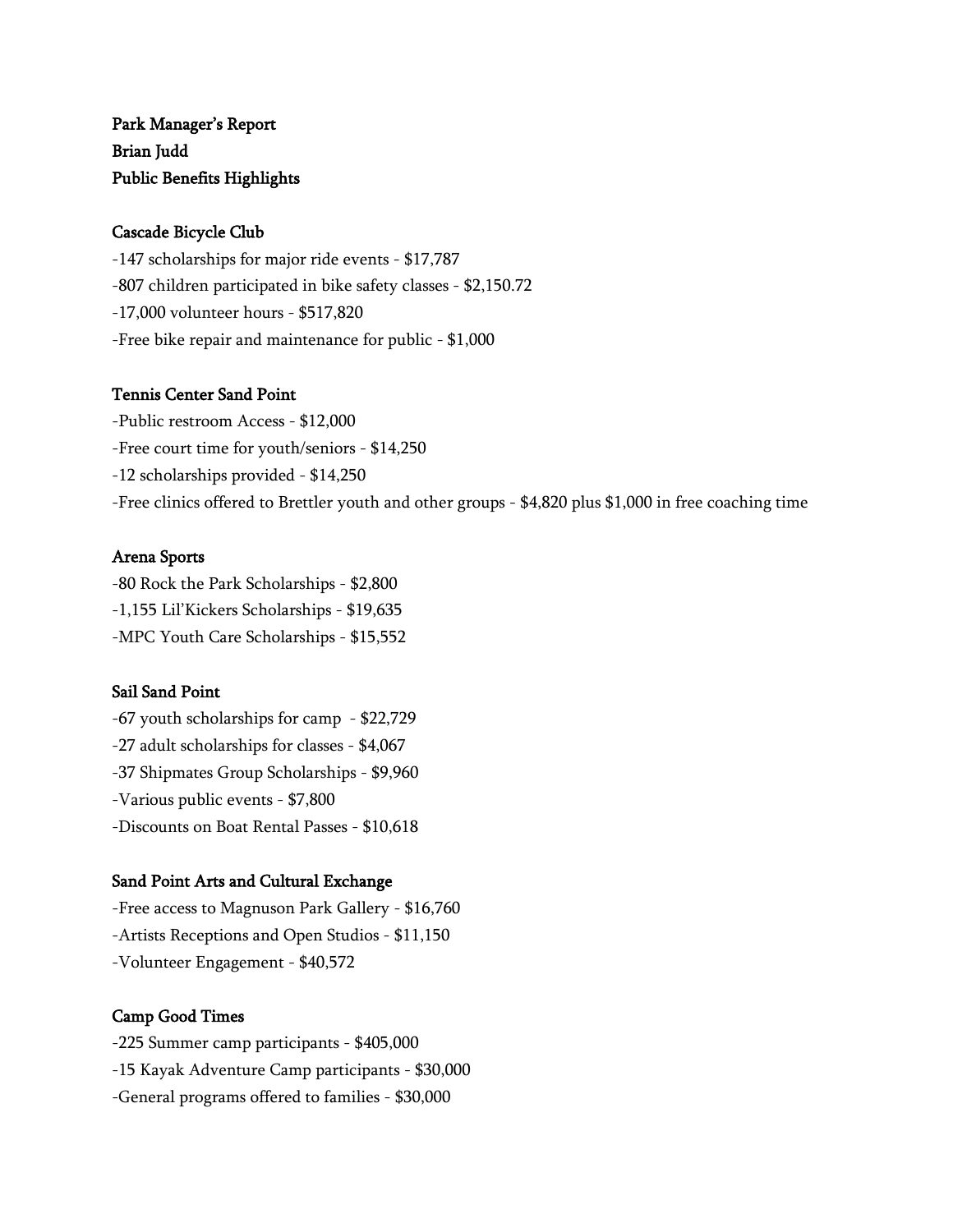# Park Manager's Report Brian Judd Public Benefits Highlights

#### Cascade Bicycle Club

-147 scholarships for major ride events - \$17,787 -807 children participated in bike safety classes - \$2,150.72 -17,000 volunteer hours - \$517,820 -Free bike repair and maintenance for public - \$1,000

#### Tennis Center Sand Point

-Public restroom Access - \$12,000 -Free court time for youth/seniors - \$14,250 -12 scholarships provided - \$14,250 -Free clinics offered to Brettler youth and other groups - \$4,820 plus \$1,000 in free coaching time

## Arena Sports

-80 Rock the Park Scholarships - \$2,800 -1,155 Lil'Kickers Scholarships - \$19,635 -MPC Youth Care Scholarships - \$15,552

## Sail Sand Point

-67 youth scholarships for camp - \$22,729 -27 adult scholarships for classes - \$4,067 -37 Shipmates Group Scholarships - \$9,960 -Various public events - \$7,800 -Discounts on Boat Rental Passes - \$10,618

## Sand Point Arts and Cultural Exchange

-Free access to Magnuson Park Gallery - \$16,760 -Artists Receptions and Open Studios - \$11,150 -Volunteer Engagement - \$40,572

## Camp Good Times

-225 Summer camp participants - \$405,000 -15 Kayak Adventure Camp participants - \$30,000 -General programs offered to families - \$30,000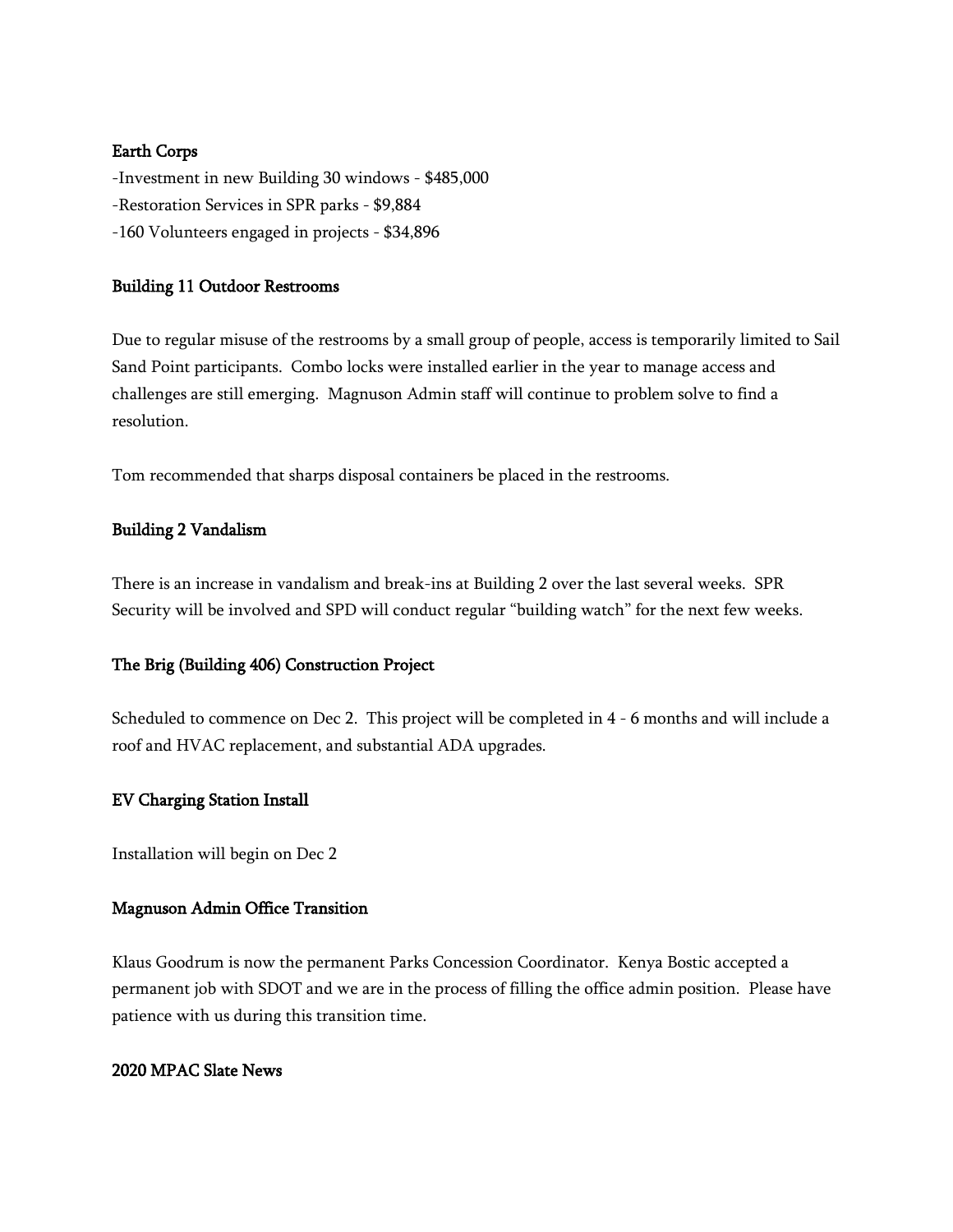## Earth Corps

-Investment in new Building 30 windows - \$485,000 -Restoration Services in SPR parks - \$9,884 -160 Volunteers engaged in projects - \$34,896

#### Building 11 Outdoor Restrooms

Due to regular misuse of the restrooms by a small group of people, access is temporarily limited to Sail Sand Point participants. Combo locks were installed earlier in the year to manage access and challenges are still emerging. Magnuson Admin staff will continue to problem solve to find a resolution.

Tom recommended that sharps disposal containers be placed in the restrooms.

#### Building 2 Vandalism

There is an increase in vandalism and break-ins at Building 2 over the last several weeks. SPR Security will be involved and SPD will conduct regular "building watch" for the next few weeks.

## The Brig (Building 406) Construction Project

Scheduled to commence on Dec 2. This project will be completed in 4 - 6 months and will include a roof and HVAC replacement, and substantial ADA upgrades.

## EV Charging Station Install

Installation will begin on Dec 2

## Magnuson Admin Office Transition

Klaus Goodrum is now the permanent Parks Concession Coordinator. Kenya Bostic accepted a permanent job with SDOT and we are in the process of filling the office admin position. Please have patience with us during this transition time.

#### 2020 MPAC Slate News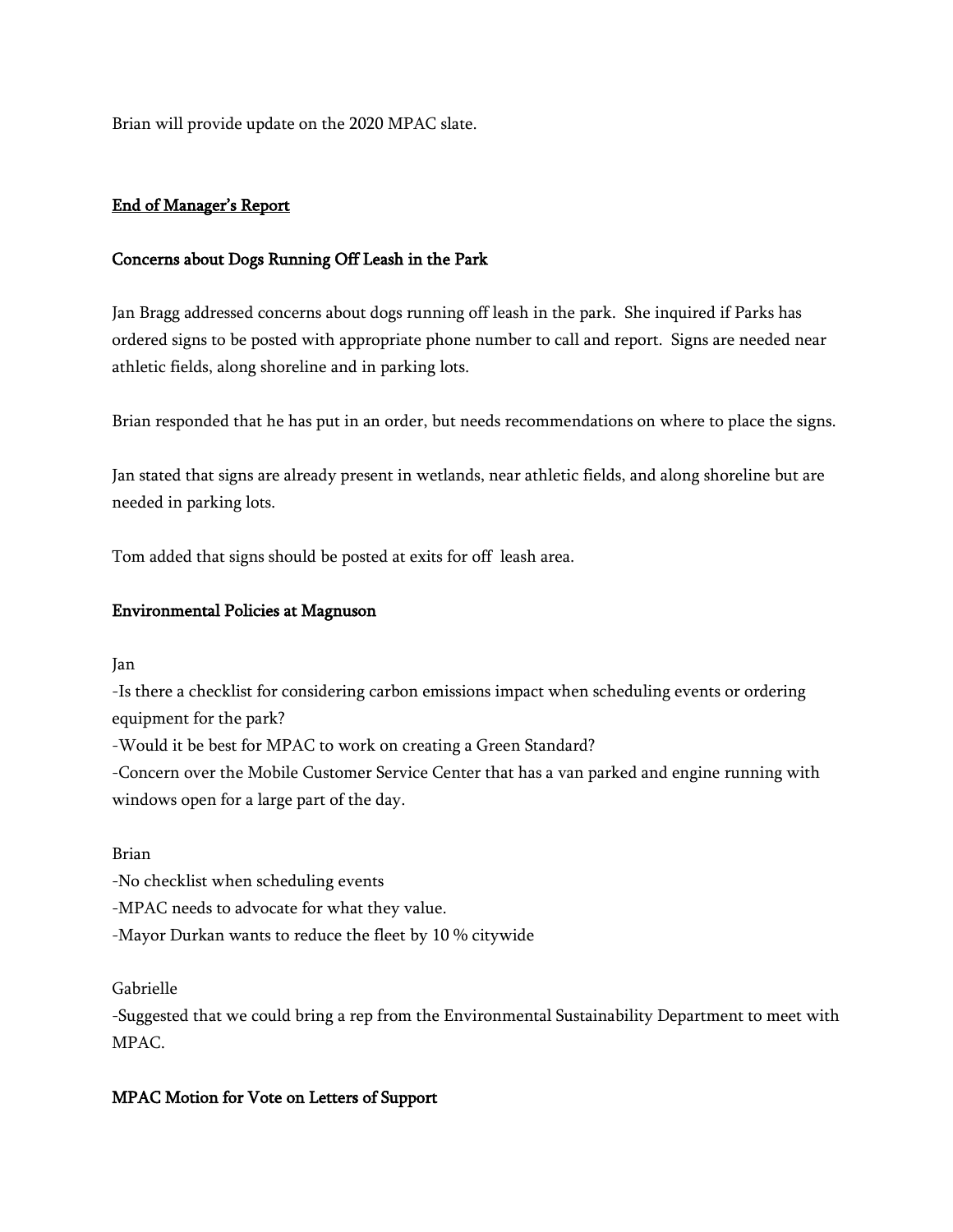Brian will provide update on the 2020 MPAC slate.

## End of Manager's Report

## Concerns about Dogs Running Off Leash in the Park

Jan Bragg addressed concerns about dogs running off leash in the park. She inquired if Parks has ordered signs to be posted with appropriate phone number to call and report. Signs are needed near athletic fields, along shoreline and in parking lots.

Brian responded that he has put in an order, but needs recommendations on where to place the signs.

Jan stated that signs are already present in wetlands, near athletic fields, and along shoreline but are needed in parking lots.

Tom added that signs should be posted at exits for off leash area.

#### Environmental Policies at Magnuson

Jan

-Is there a checklist for considering carbon emissions impact when scheduling events or ordering equipment for the park?

-Would it be best for MPAC to work on creating a Green Standard?

-Concern over the Mobile Customer Service Center that has a van parked and engine running with windows open for a large part of the day.

#### Brian

-No checklist when scheduling events

-MPAC needs to advocate for what they value.

-Mayor Durkan wants to reduce the fleet by 10 % citywide

#### Gabrielle

-Suggested that we could bring a rep from the Environmental Sustainability Department to meet with MPAC.

## MPAC Motion for Vote on Letters of Support